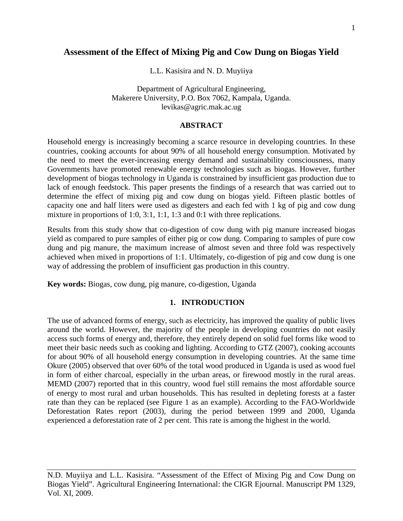# **Assessment of the Effect of Mixing Pig and Cow Dung on Biogas Yield**

L.L. Kasisira and N. D. Muyiiya

Department of Agricultural Engineering, Makerere University, P.O. Box 7062, Kampala, Uganda. levikas@agric.mak.ac.ug

#### **ABSTRACT**

Household energy is increasingly becoming a scarce resource in developing countries. In these countries, cooking accounts for about 90% of all household energy consumption. Motivated by the need to meet the ever-increasing energy demand and sustainability consciousness, many Governments have promoted renewable energy technologies such as biogas. However, further development of biogas technology in Uganda is constrained by insufficient gas production due to lack of enough feedstock. This paper presents the findings of a research that was carried out to determine the effect of mixing pig and cow dung on biogas yield. Fifteen plastic bottles of capacity one and half liters were used as digesters and each fed with 1 kg of pig and cow dung mixture in proportions of 1:0, 3:1, 1:1, 1:3 and 0:1 with three replications.

Results from this study show that co-digestion of cow dung with pig manure increased biogas yield as compared to pure samples of either pig or cow dung. Comparing to samples of pure cow dung and pig manure, the maximum increase of almost seven and three fold was respectively achieved when mixed in proportions of 1:1. Ultimately, co-digestion of pig and cow dung is one way of addressing the problem of insufficient gas production in this country.

**Key words:** Biogas, cow dung, pig manure, co-digestion, Uganda

#### **1. INTRODUCTION**

The use of advanced forms of energy, such as electricity, has improved the quality of public lives around the world. However, the majority of the people in developing countries do not easily access such forms of energy and, therefore, they entirely depend on solid fuel forms like wood to meet their basic needs such as cooking and lighting. According to GTZ (2007), cooking accounts for about 90% of all household energy consumption in developing countries. At the same time Okure (2005) observed that over 60% of the total wood produced in Uganda is used as wood fuel in form of either charcoal, especially in the urban areas, or firewood mostly in the rural areas. MEMD (2007) reported that in this country, wood fuel still remains the most affordable source of energy to most rural and urban households. This has resulted in depleting forests at a faster rate than they can be replaced (see Figure 1 as an example). According to the FAO-Worldwide Deforestation Rates report (2003), during the period between 1999 and 2000, Uganda experienced a deforestation rate of 2 per cent. This rate is among the highest in the world.

N.D. Muyiiya and L.L. Kasisira. "Assessment of the Effect of Mixing Pig and Cow Dung on Biogas Yield". Agricultural Engineering International: the CIGR Ejournal. Manuscript PM 1329, Vol. XI, 2009.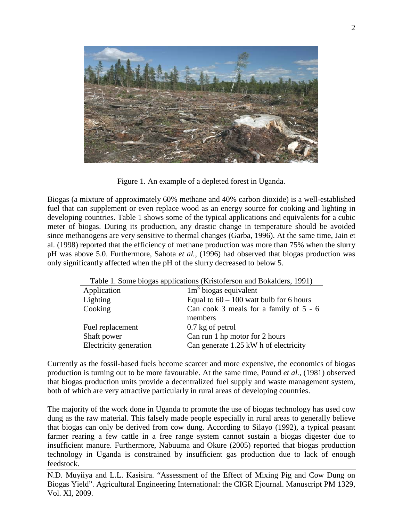

Figure 1. An example of a depleted forest in Uganda.

Biogas (a mixture of approximately 60% methane and 40% carbon dioxide) is a well-established fuel that can supplement or even replace wood as an energy source for cooking and lighting in developing countries. Table 1 shows some of the typical applications and equivalents for a cubic meter of biogas. During its production, any drastic change in temperature should be avoided since methanogens are very sensitive to thermal changes (Garba, 1996). At the same time, Jain et al. (1998) reported that the efficiency of methane production was more than 75% when the slurry pH was above 5.0. Furthermore, Sahota *et al.,* (1996) had observed that biogas production was only significantly affected when the pH of the slurry decreased to below 5.

| Table 1. Some biogas applications (Kristoferson and Bokalders, 1991) |                                           |  |  |  |
|----------------------------------------------------------------------|-------------------------------------------|--|--|--|
| Application                                                          | $1m3$ biogas equivalent                   |  |  |  |
| Lighting                                                             | Equal to $60 - 100$ watt bulb for 6 hours |  |  |  |
| Cooking                                                              | Can cook 3 meals for a family of $5 - 6$  |  |  |  |
|                                                                      | members                                   |  |  |  |
| Fuel replacement                                                     | $0.7$ kg of petrol                        |  |  |  |
| Shaft power                                                          | Can run 1 hp motor for 2 hours            |  |  |  |
| Electricity generation                                               | Can generate 1.25 kW h of electricity     |  |  |  |

Table 1. Some biogas applications (Kristoferson and Bokalders, 1991)

Currently as the fossil-based fuels become scarcer and more expensive, the economics of biogas production is turning out to be more favourable. At the same time, Pound *et al.,* (1981) observed that biogas production units provide a decentralized fuel supply and waste management system, both of which are very attractive particularly in rural areas of developing countries.

The majority of the work done in Uganda to promote the use of biogas technology has used cow dung as the raw material. This falsely made people especially in rural areas to generally believe that biogas can only be derived from cow dung. According to Silayo (1992), a typical peasant farmer rearing a few cattle in a free range system cannot sustain a biogas digester due to insufficient manure. Furthermore, Nabuuma and Okure (2005) reported that biogas production technology in Uganda is constrained by insufficient gas production due to lack of enough feedstock.

N.D. Muyiiya and L.L. Kasisira. "Assessment of the Effect of Mixing Pig and Cow Dung on Biogas Yield". Agricultural Engineering International: the CIGR Ejournal. Manuscript PM 1329, Vol. XI, 2009.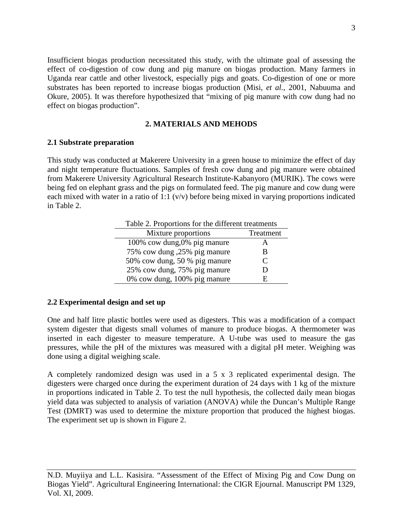Insufficient biogas production necessitated this study, with the ultimate goal of assessing the effect of co-digestion of cow dung and pig manure on biogas production. Many farmers in Uganda rear cattle and other livestock, especially pigs and goats. Co-digestion of one or more substrates has been reported to increase biogas production (Misi, *et al.,* 2001, Nabuuma and Okure, 2005). It was therefore hypothesized that "mixing of pig manure with cow dung had no effect on biogas production".

### **2. MATERIALS AND MEHODS**

## **2.1 Substrate preparation**

This study was conducted at Makerere University in a green house to minimize the effect of day and night temperature fluctuations. Samples of fresh cow dung and pig manure were obtained from Makerere University Agricultural Research Institute-Kabanyoro (MURIK). The cows were being fed on elephant grass and the pigs on formulated feed. The pig manure and cow dung were each mixed with water in a ratio of 1:1 (v/v) before being mixed in varying proportions indicated in Table 2.

|  | Table 2. Proportions for the different treatments |
|--|---------------------------------------------------|
|  |                                                   |

| Mixture proportions           | Treatment     |
|-------------------------------|---------------|
| 100% cow dung,0% pig manure   |               |
| 75% cow dung ,25% pig manure  | В             |
| 50% cow dung, 50 % pig manure | $\mathcal{C}$ |
| 25% cow dung, 75% pig manure  |               |
| 0% cow dung, 100% pig manure  |               |

## **2.2 Experimental design and set up**

One and half litre plastic bottles were used as digesters. This was a modification of a compact system digester that digests small volumes of manure to produce biogas. A thermometer was inserted in each digester to measure temperature. A U-tube was used to measure the gas pressures, while the pH of the mixtures was measured with a digital pH meter. Weighing was done using a digital weighing scale.

A completely randomized design was used in a 5 x 3 replicated experimental design. The digesters were charged once during the experiment duration of 24 days with 1 kg of the mixture in proportions indicated in Table 2. To test the null hypothesis, the collected daily mean biogas yield data was subjected to analysis of variation (ANOVA) while the Duncan's Multiple Range Test (DMRT) was used to determine the mixture proportion that produced the highest biogas. The experiment set up is shown in Figure 2.

N.D. Muyiiya and L.L. Kasisira. "Assessment of the Effect of Mixing Pig and Cow Dung on Biogas Yield". Agricultural Engineering International: the CIGR Ejournal. Manuscript PM 1329, Vol. XI, 2009.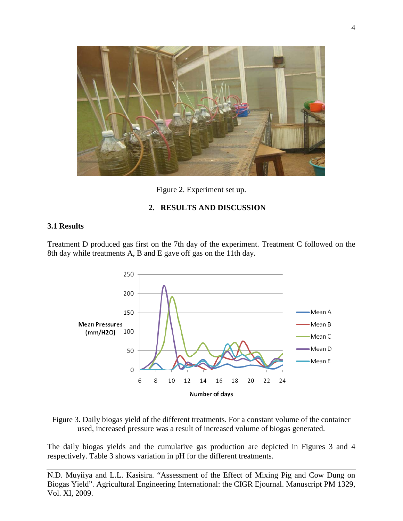

Figure 2. Experiment set up.

## **2. RESULTS AND DISCUSSION**

#### **3.1 Results**

Treatment D produced gas first on the 7th day of the experiment. Treatment C followed on the 8th day while treatments A, B and E gave off gas on the 11th day.



Figure 3. Daily biogas yield of the different treatments. For a constant volume of the container used, increased pressure was a result of increased volume of biogas generated.

The daily biogas yields and the cumulative gas production are depicted in Figures 3 and 4 respectively. Table 3 shows variation in pH for the different treatments.

N.D. Muyiiya and L.L. Kasisira. "Assessment of the Effect of Mixing Pig and Cow Dung on Biogas Yield". Agricultural Engineering International: the CIGR Ejournal. Manuscript PM 1329, Vol. XI, 2009.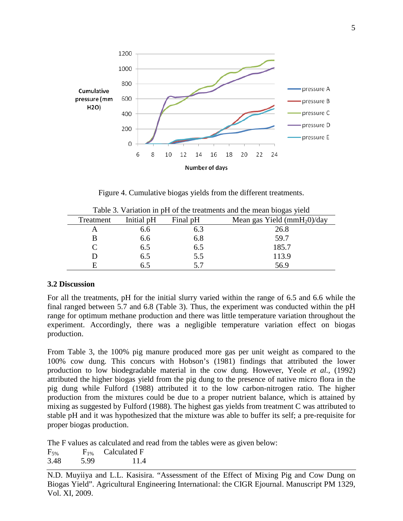

Figure 4. Cumulative biogas yields from the different treatments.

| Tuble 5. Turniform in part of the treatments and the mean brogast plene |            |          |                              |  |  |
|-------------------------------------------------------------------------|------------|----------|------------------------------|--|--|
| Treatment                                                               | Initial pH | Final pH | Mean gas Yield $(mmH20)/day$ |  |  |
|                                                                         | 6.6        | 6.3      | 26.8                         |  |  |
|                                                                         | 6.6        | 6.8      | 59.7                         |  |  |
|                                                                         | 6.5        | 6.5      | 185.7                        |  |  |
|                                                                         | 6.5        | 5.5      | 113.9                        |  |  |
|                                                                         | 6.5        | 57       | 56.9                         |  |  |

Table 3. Variation in pH of the treatments and the mean biogas yield

### **3.2 Discussion**

For all the treatments, pH for the initial slurry varied within the range of 6.5 and 6.6 while the final ranged between 5.7 and 6.8 (Table 3). Thus, the experiment was conducted within the pH range for optimum methane production and there was little temperature variation throughout the experiment. Accordingly, there was a negligible temperature variation effect on biogas production.

From Table 3, the 100% pig manure produced more gas per unit weight as compared to the 100% cow dung. This concurs with Hobson's (1981) findings that attributed the lower production to low biodegradable material in the cow dung. However, Yeole *et al.,* (1992) attributed the higher biogas yield from the pig dung to the presence of native micro flora in the pig dung while Fulford (1988) attributed it to the low carbon-nitrogen ratio. The higher production from the mixtures could be due to a proper nutrient balance, which is attained by mixing as suggested by Fulford (1988). The highest gas yields from treatment C was attributed to stable pH and it was hypothesized that the mixture was able to buffer its self; a pre-requisite for proper biogas production.

The F values as calculated and read from the tables were as given below:

 $F_{5\%}$   $F_{1\%}$  Calculated F 3.48 5.99 11.4

N.D. Muyiiya and L.L. Kasisira. "Assessment of the Effect of Mixing Pig and Cow Dung on Biogas Yield". Agricultural Engineering International: the CIGR Ejournal. Manuscript PM 1329, Vol. XI, 2009.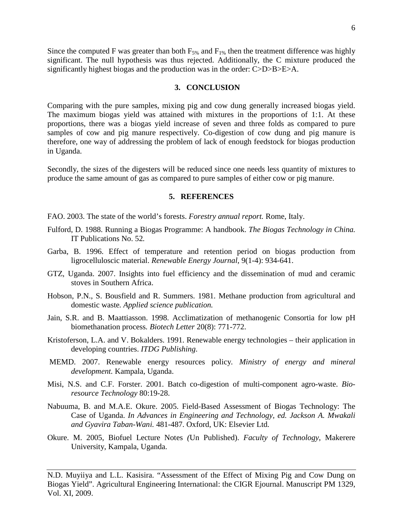Since the computed F was greater than both  $F_{5\%}$  and  $F_{1\%}$  then the treatment difference was highly significant. The null hypothesis was thus rejected. Additionally, the C mixture produced the significantly highest biogas and the production was in the order: C>D>B>E>A.

#### **3. CONCLUSION**

Comparing with the pure samples, mixing pig and cow dung generally increased biogas yield. The maximum biogas yield was attained with mixtures in the proportions of 1:1. At these proportions, there was a biogas yield increase of seven and three folds as compared to pure samples of cow and pig manure respectively. Co-digestion of cow dung and pig manure is therefore, one way of addressing the problem of lack of enough feedstock for biogas production in Uganda.

Secondly, the sizes of the digesters will be reduced since one needs less quantity of mixtures to produce the same amount of gas as compared to pure samples of either cow or pig manure.

#### **5. REFERENCES**

- FAO. 2003. The state of the world's forests. *Forestry annual report.* Rome, Italy.
- Fulford, D. 1988. Running a Biogas Programme: A handbook. *The Biogas Technology in China.* IT Publications No. 52*.*
- Garba, B. 1996. Effect of temperature and retention period on biogas production from ligrocelluloscic material. *Renewable Energy Journal*, 9(1-4): 934-641.
- GTZ, Uganda. 2007. Insights into fuel efficiency and the dissemination of mud and ceramic stoves in Southern Africa.
- Hobson, P.N., S. Bousfield and R. Summers. 1981. Methane production from agricultural and domestic waste*. Applied science publication.*
- Jain, S.R. and B. Maattiasson. 1998. Acclimatization of methanogenic Consortia for low pH biomethanation process*. Biotech Letter* 20(8): 771-772.
- Kristoferson, L.A. and V. Bokalders. 1991. Renewable energy technologies their application in developing countries. *ITDG Publishing*.
- MEMD. 2007. Renewable energy resources policy*. Ministry of energy and mineral development.* Kampala, Uganda.
- Misi, N.S. and C.F. Forster. 2001. Batch co-digestion of multi-component agro-waste. *Bioresource Technology* 80:19-28.
- Nabuuma, B. and M.A.E. Okure. 2005. Field-Based Assessment of Biogas Technology: The Case of Uganda. *In Advances in Engineering and Technology, ed. Jackson A. Mwakali and Gyavira Taban-Wani.* 481-487. Oxford, UK: Elsevier Ltd*.*
- Okure. M. 2005, Biofuel Lecture Notes *(*Un Published). *Faculty of Technology*, Makerere University, Kampala, Uganda.

N.D. Muyiiya and L.L. Kasisira. "Assessment of the Effect of Mixing Pig and Cow Dung on Biogas Yield". Agricultural Engineering International: the CIGR Ejournal. Manuscript PM 1329, Vol. XI, 2009.